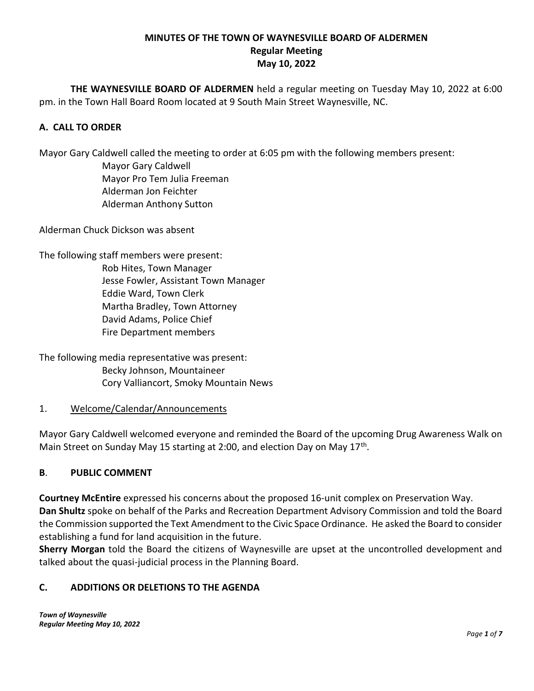## **MINUTES OF THE TOWN OF WAYNESVILLE BOARD OF ALDERMEN Regular Meeting May 10, 2022**

**THE WAYNESVILLE BOARD OF ALDERMEN** held a regular meeting on Tuesday May 10, 2022 at 6:00 pm. in the Town Hall Board Room located at 9 South Main Street Waynesville, NC.

# **A. CALL TO ORDER**

Mayor Gary Caldwell called the meeting to order at 6:05 pm with the following members present:

Mayor Gary Caldwell Mayor Pro Tem Julia Freeman Alderman Jon Feichter Alderman Anthony Sutton

Alderman Chuck Dickson was absent

The following staff members were present: Rob Hites, Town Manager Jesse Fowler, Assistant Town Manager Eddie Ward, Town Clerk Martha Bradley, Town Attorney David Adams, Police Chief Fire Department members

The following media representative was present: Becky Johnson, Mountaineer Cory Valliancort, Smoky Mountain News

## 1. Welcome/Calendar/Announcements

Mayor Gary Caldwell welcomed everyone and reminded the Board of the upcoming Drug Awareness Walk on Main Street on Sunday May 15 starting at 2:00, and election Day on May 17<sup>th</sup>.

# **B**. **PUBLIC COMMENT**

**Courtney McEntire** expressed his concerns about the proposed 16-unit complex on Preservation Way. **Dan Shultz** spoke on behalf of the Parks and Recreation Department Advisory Commission and told the Board the Commission supported the Text Amendment to the Civic Space Ordinance. He asked the Board to consider establishing a fund for land acquisition in the future.

**Sherry Morgan** told the Board the citizens of Waynesville are upset at the uncontrolled development and talked about the quasi-judicial process in the Planning Board.

# **C. ADDITIONS OR DELETIONS TO THE AGENDA**

*Town of Waynesville Regular Meeting May 10, 2022*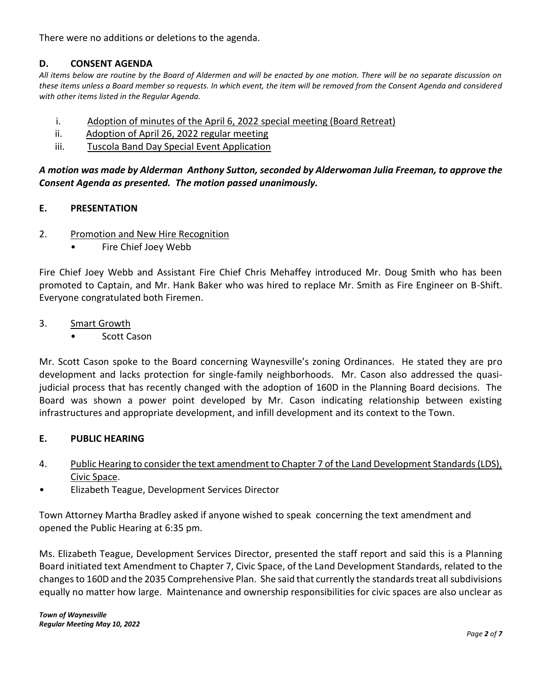There were no additions or deletions to the agenda.

## **D. CONSENT AGENDA**

*All items below are routine by the Board of Aldermen and will be enacted by one motion. There will be no separate discussion on these items unless a Board member so requests. In which event, the item will be removed from the Consent Agenda and considered with other items listed in the Regular Agenda.*

- i. Adoption of minutes of the April 6, 2022 special meeting (Board Retreat)
- ii. Adoption of April 26, 2022 regular meeting
- iii. Tuscola Band Day Special Event Application

*A motion was made by Alderman Anthony Sutton, seconded by Alderwoman Julia Freeman, to approve the Consent Agenda as presented. The motion passed unanimously.* 

### **E. PRESENTATION**

- 2. Promotion and New Hire Recognition
	- Fire Chief Joey Webb

Fire Chief Joey Webb and Assistant Fire Chief Chris Mehaffey introduced Mr. Doug Smith who has been promoted to Captain, and Mr. Hank Baker who was hired to replace Mr. Smith as Fire Engineer on B-Shift. Everyone congratulated both Firemen.

- 3. Smart Growth
	- **Scott Cason**

Mr. Scott Cason spoke to the Board concerning Waynesville's zoning Ordinances. He stated they are pro development and lacks protection for single-family neighborhoods. Mr. Cason also addressed the quasijudicial process that has recently changed with the adoption of 160D in the Planning Board decisions. The Board was shown a power point developed by Mr. Cason indicating relationship between existing infrastructures and appropriate development, and infill development and its context to the Town.

### **E. PUBLIC HEARING**

- 4. Public Hearing to consider the text amendment to Chapter 7 of the Land Development Standards (LDS), Civic Space.
- Elizabeth Teague, Development Services Director

Town Attorney Martha Bradley asked if anyone wished to speak concerning the text amendment and opened the Public Hearing at 6:35 pm.

Ms. Elizabeth Teague, Development Services Director, presented the staff report and said this is a Planning Board initiated text Amendment to Chapter 7, Civic Space, of the Land Development Standards, related to the changes to 160D and the 2035 Comprehensive Plan. She said that currently the standards treat all subdivisions equally no matter how large. Maintenance and ownership responsibilities for civic spaces are also unclear as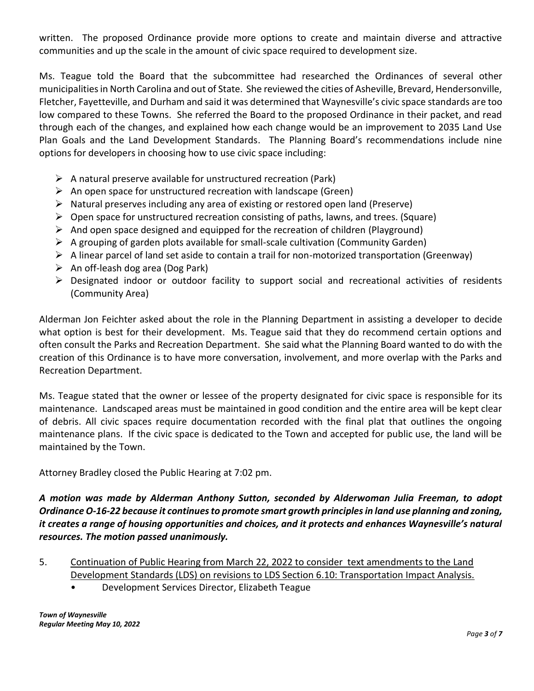written. The proposed Ordinance provide more options to create and maintain diverse and attractive communities and up the scale in the amount of civic space required to development size.

Ms. Teague told the Board that the subcommittee had researched the Ordinances of several other municipalities in North Carolina and out of State. She reviewed the cities of Asheville, Brevard, Hendersonville, Fletcher, Fayetteville, and Durham and said it was determined that Waynesville's civic space standards are too low compared to these Towns. She referred the Board to the proposed Ordinance in their packet, and read through each of the changes, and explained how each change would be an improvement to 2035 Land Use Plan Goals and the Land Development Standards. The Planning Board's recommendations include nine options for developers in choosing how to use civic space including:

- $\triangleright$  A natural preserve available for unstructured recreation (Park)
- $\triangleright$  An open space for unstructured recreation with landscape (Green)
- $\triangleright$  Natural preserves including any area of existing or restored open land (Preserve)
- $\triangleright$  Open space for unstructured recreation consisting of paths, lawns, and trees. (Square)
- $\triangleright$  And open space designed and equipped for the recreation of children (Playground)
- $\triangleright$  A grouping of garden plots available for small-scale cultivation (Community Garden)
- $\triangleright$  A linear parcel of land set aside to contain a trail for non-motorized transportation (Greenway)
- $\triangleright$  An off-leash dog area (Dog Park)
- ➢ Designated indoor or outdoor facility to support social and recreational activities of residents (Community Area)

Alderman Jon Feichter asked about the role in the Planning Department in assisting a developer to decide what option is best for their development. Ms. Teague said that they do recommend certain options and often consult the Parks and Recreation Department. She said what the Planning Board wanted to do with the creation of this Ordinance is to have more conversation, involvement, and more overlap with the Parks and Recreation Department.

Ms. Teague stated that the owner or lessee of the property designated for civic space is responsible for its maintenance. Landscaped areas must be maintained in good condition and the entire area will be kept clear of debris. All civic spaces require documentation recorded with the final plat that outlines the ongoing maintenance plans. If the civic space is dedicated to the Town and accepted for public use, the land will be maintained by the Town.

Attorney Bradley closed the Public Hearing at 7:02 pm.

# *A motion was made by Alderman Anthony Sutton, seconded by Alderwoman Julia Freeman, to adopt Ordinance O-16-22 because it continues to promote smart growth principles in land use planning and zoning, it creates a range of housing opportunities and choices, and it protects and enhances Waynesville's natural resources. The motion passed unanimously.*

- 5. Continuation of Public Hearing from March 22, 2022 to consider text amendments to the Land Development Standards (LDS) on revisions to LDS Section 6.10: Transportation Impact Analysis.
	- Development Services Director, Elizabeth Teague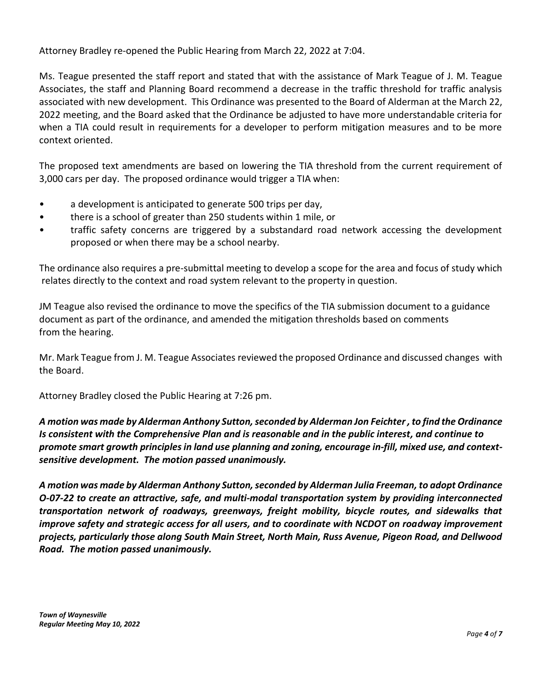Attorney Bradley re-opened the Public Hearing from March 22, 2022 at 7:04.

Ms. Teague presented the staff report and stated that with the assistance of Mark Teague of J. M. Teague Associates, the staff and Planning Board recommend a decrease in the traffic threshold for traffic analysis associated with new development. This Ordinance was presented to the Board of Alderman at the March 22, 2022 meeting, and the Board asked that the Ordinance be adjusted to have more understandable criteria for when a TIA could result in requirements for a developer to perform mitigation measures and to be more context oriented.

The proposed text amendments are based on lowering the TIA threshold from the current requirement of 3,000 cars per day. The proposed ordinance would trigger a TIA when:

- a development is anticipated to generate 500 trips per day,
- there is a school of greater than 250 students within 1 mile, or
- traffic safety concerns are triggered by a substandard road network accessing the development proposed or when there may be a school nearby.

The ordinance also requires a pre-submittal meeting to develop a scope for the area and focus of study which relates directly to the context and road system relevant to the property in question.

JM Teague also revised the ordinance to move the specifics of the TIA submission document to a guidance document as part of the ordinance, and amended the mitigation thresholds based on comments from the hearing.

Mr. Mark Teague from J. M. Teague Associates reviewed the proposed Ordinance and discussed changes with the Board.

Attorney Bradley closed the Public Hearing at 7:26 pm.

*A motion was made by Alderman Anthony Sutton, seconded by Alderman Jon Feichter , to find the Ordinance Is consistent with the Comprehensive Plan and is reasonable and in the public interest, and continue to promote smart growth principles in land use planning and zoning, encourage in-fill, mixed use, and contextsensitive development. The motion passed unanimously.*

*A motion was made by Alderman Anthony Sutton, seconded by Alderman Julia Freeman, to adopt Ordinance O-07-22 to create an attractive, safe, and multi-modal transportation system by providing interconnected transportation network of roadways, greenways, freight mobility, bicycle routes, and sidewalks that improve safety and strategic access for all users, and to coordinate with NCDOT on roadway improvement projects, particularly those along South Main Street, North Main, Russ Avenue, Pigeon Road, and Dellwood Road. The motion passed unanimously.*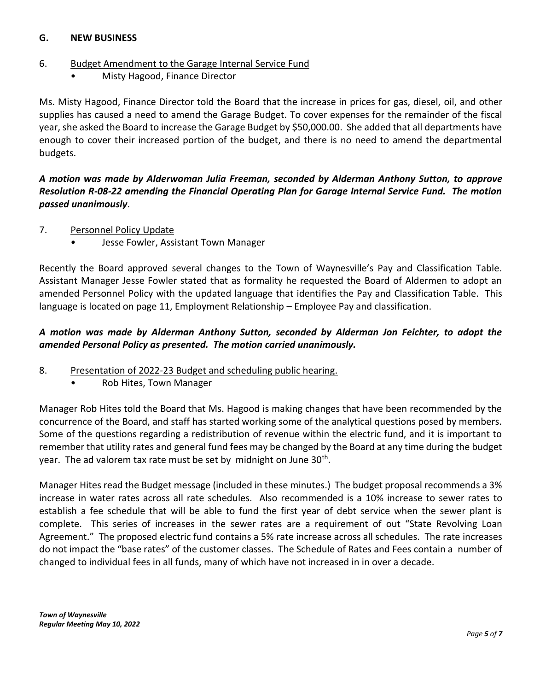## **G. NEW BUSINESS**

## 6. Budget Amendment to the Garage Internal Service Fund

• Misty Hagood, Finance Director

Ms. Misty Hagood, Finance Director told the Board that the increase in prices for gas, diesel, oil, and other supplies has caused a need to amend the Garage Budget. To cover expenses for the remainder of the fiscal year, she asked the Board to increase the Garage Budget by \$50,000.00. She added that all departments have enough to cover their increased portion of the budget, and there is no need to amend the departmental budgets.

*A motion was made by Alderwoman Julia Freeman, seconded by Alderman Anthony Sutton, to approve Resolution R-08-22 amending the Financial Operating Plan for Garage Internal Service Fund. The motion passed unanimously*.

- 7. Personnel Policy Update
	- Jesse Fowler, Assistant Town Manager

Recently the Board approved several changes to the Town of Waynesville's Pay and Classification Table. Assistant Manager Jesse Fowler stated that as formality he requested the Board of Aldermen to adopt an amended Personnel Policy with the updated language that identifies the Pay and Classification Table. This language is located on page 11, Employment Relationship – Employee Pay and classification.

# *A motion was made by Alderman Anthony Sutton, seconded by Alderman Jon Feichter, to adopt the amended Personal Policy as presented. The motion carried unanimously.*

- 8. Presentation of 2022-23 Budget and scheduling public hearing.
	- Rob Hites, Town Manager

Manager Rob Hites told the Board that Ms. Hagood is making changes that have been recommended by the concurrence of the Board, and staff has started working some of the analytical questions posed by members. Some of the questions regarding a redistribution of revenue within the electric fund, and it is important to remember that utility rates and general fund fees may be changed by the Board at any time during the budget year. The ad valorem tax rate must be set by midnight on June 30<sup>th</sup>.

Manager Hites read the Budget message (included in these minutes.) The budget proposal recommends a 3% increase in water rates across all rate schedules. Also recommended is a 10% increase to sewer rates to establish a fee schedule that will be able to fund the first year of debt service when the sewer plant is complete. This series of increases in the sewer rates are a requirement of out "State Revolving Loan Agreement." The proposed electric fund contains a 5% rate increase across all schedules. The rate increases do not impact the "base rates" of the customer classes. The Schedule of Rates and Fees contain a number of changed to individual fees in all funds, many of which have not increased in in over a decade.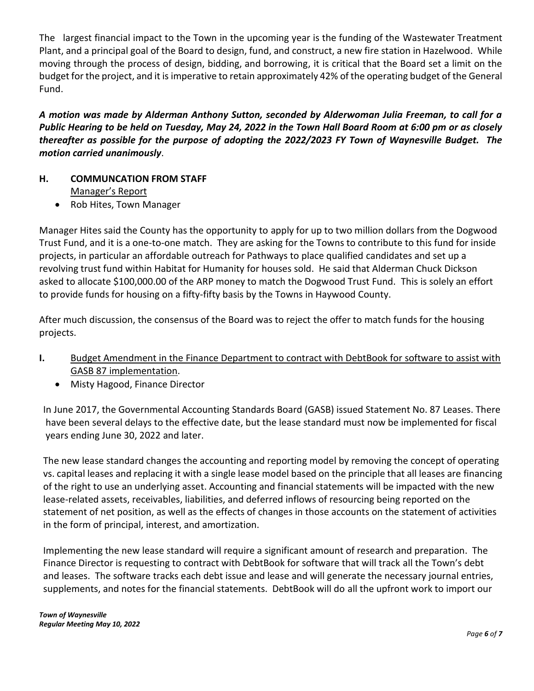The largest financial impact to the Town in the upcoming year is the funding of the Wastewater Treatment Plant, and a principal goal of the Board to design, fund, and construct, a new fire station in Hazelwood. While moving through the process of design, bidding, and borrowing, it is critical that the Board set a limit on the budget for the project, and it is imperative to retain approximately 42% of the operating budget of the General Fund.

*A motion was made by Alderman Anthony Sutton, seconded by Alderwoman Julia Freeman, to call for a Public Hearing to be held on Tuesday, May 24, 2022 in the Town Hall Board Room at 6:00 pm or as closely thereafter as possible for the purpose of adopting the 2022/2023 FY Town of Waynesville Budget. The motion carried unanimously*.

- **H. COMMUNCATION FROM STAFF** Manager's Report
	- Rob Hites, Town Manager

Manager Hites said the County has the opportunity to apply for up to two million dollars from the Dogwood Trust Fund, and it is a one-to-one match. They are asking for the Towns to contribute to this fund for inside projects, in particular an affordable outreach for Pathways to place qualified candidates and set up a revolving trust fund within Habitat for Humanity for houses sold. He said that Alderman Chuck Dickson asked to allocate \$100,000.00 of the ARP money to match the Dogwood Trust Fund. This is solely an effort to provide funds for housing on a fifty-fifty basis by the Towns in Haywood County.

After much discussion, the consensus of the Board was to reject the offer to match funds for the housing projects.

- **I.** Budget Amendment in the Finance Department to contract with DebtBook for software to assist with GASB 87 implementation.
	- Misty Hagood, Finance Director

In June 2017, the Governmental Accounting Standards Board (GASB) issued Statement No. 87 Leases. There have been several delays to the effective date, but the lease standard must now be implemented for fiscal years ending June 30, 2022 and later.

The new lease standard changes the accounting and reporting model by removing the concept of operating vs. capital leases and replacing it with a single lease model based on the principle that all leases are financing of the right to use an underlying asset. Accounting and financial statements will be impacted with the new lease-related assets, receivables, liabilities, and deferred inflows of resourcing being reported on the statement of net position, as well as the effects of changes in those accounts on the statement of activities in the form of principal, interest, and amortization.

Implementing the new lease standard will require a significant amount of research and preparation. The Finance Director is requesting to contract with DebtBook for software that will track all the Town's debt and leases. The software tracks each debt issue and lease and will generate the necessary journal entries, supplements, and notes for the financial statements. DebtBook will do all the upfront work to import our